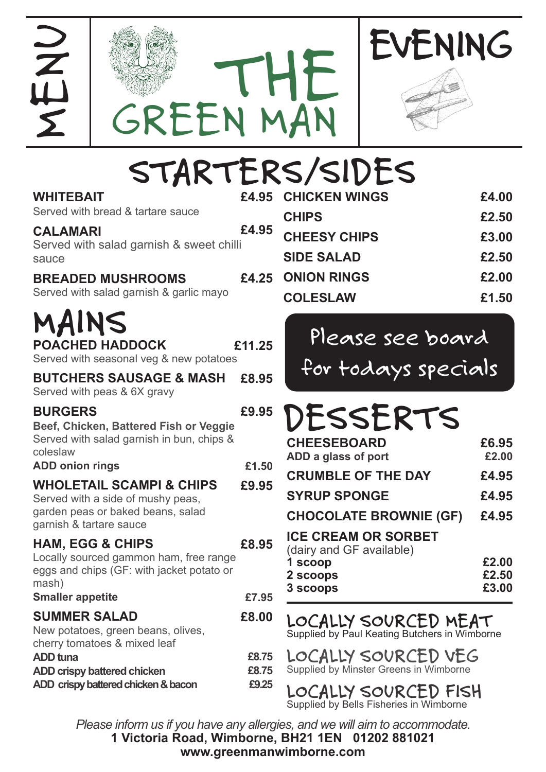



GREEN MAN

THE

MENU

| <b>WHITEBAIT</b><br>Served with bread & tartare sauce                                                                                                                                                                   | £4.95                   | <b>CHICKEN WINGS</b>                                                                                      | £4.00                            |
|-------------------------------------------------------------------------------------------------------------------------------------------------------------------------------------------------------------------------|-------------------------|-----------------------------------------------------------------------------------------------------------|----------------------------------|
| <b>CALAMARI</b><br>Served with salad garnish & sweet chilli<br>sauce                                                                                                                                                    | £4.95                   | <b>CHIPS</b><br><b>CHEESY CHIPS</b><br><b>SIDE SALAD</b>                                                  | £2.50<br>£3.00<br>£2.50          |
| <b>BREADED MUSHROOMS</b><br>Served with salad garnish & garlic mayo                                                                                                                                                     | £4.25                   | <b>ONION RINGS</b><br><b>COLESLAW</b>                                                                     | £2.00<br>£1.50                   |
| MAINS<br><b>POACHED HADDOCK</b><br>Served with seasonal veg & new potatoes                                                                                                                                              | £11.25                  | Please see board<br>for todays specials                                                                   |                                  |
| <b>BUTCHERS SAUSAGE &amp; MASH</b><br>Served with peas & 6X gravy                                                                                                                                                       | £8.95                   |                                                                                                           |                                  |
| <b>BURGERS</b><br>Beef, Chicken, Battered Fish or Veggie<br>Served with salad garnish in bun, chips &<br>coleslaw<br><b>ADD onion rings</b><br><b>WHOLETAIL SCAMPI &amp; CHIPS</b><br>Served with a side of mushy peas, | £9.95<br>£1.50<br>£9.95 | DESSERTS<br><b>CHEESEBOARD</b><br>ADD a glass of port<br><b>CRUMBLE OF THE DAY</b><br><b>SYRUP SPONGE</b> | £6.95<br>£2.00<br>£4.95<br>£4.95 |
| garden peas or baked beans, salad<br>garnish & tartare sauce                                                                                                                                                            |                         | <b>CHOCOLATE BROWNIE (GF)</b>                                                                             | £4.95                            |
| <b>HAM, EGG &amp; CHIPS</b><br>Locally sourced gammon ham, free range<br>eggs and chips (GF: with jacket potato or<br>mash)<br><b>Smaller appetite</b>                                                                  | £8.95<br>£7.95          | <b>ICE CREAM OR SORBET</b><br>(dairy and GF available)<br>1 scoop<br>2 scoops<br>3 scoops                 | £2.00<br>£2.50<br>£3.00          |
| <b>SUMMER SALAD</b><br>New potatoes, green beans, olives,                                                                                                                                                               | £8.00                   | LOCALLY SOURCED MEAT<br>Supplied by Paul Keating Butchers in Wimborne                                     |                                  |
| cherry tomatoes & mixed leaf<br><b>ADD</b> tuna<br><b>ADD crispy battered chicken</b><br>ADD crispy battered chicken & bacon                                                                                            | £8.75<br>£8.75<br>£9.25 | LOCALLY SOURCED VEG<br>Supplied by Minster Greens in Wimborne<br>LOCALLY SOURCED FISH                     |                                  |

**1 Victoria Road, Wimborne, BH21 1EN 01202 881021 www.greenmanwimborne.com** *Please inform us if you have any allergies, and we will aim to accommodate.*

Supplied by Bells Fisheries in Wimborne